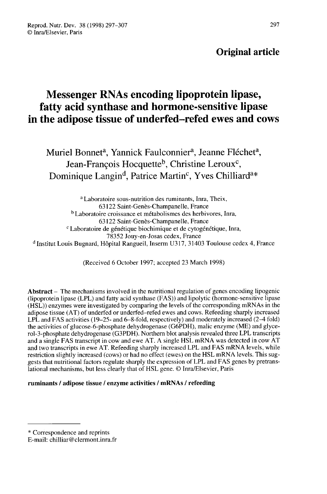# Original article

# Messenger RNAs encoding lipoprotein lipase, fatty acid synthase and hormone-sensitive lipase in the adipose tissue of underfed-refed ewes and cows Messenger RNAs encoding lipoprotein lipase<br>atty acid synthase and hormone-sensitive lipa<br>ne adipose tissue of underfed–refed ewes and<br>Muriel Bonnet<sup>a</sup>, Yannick Faulconnier<sup>a</sup>, Jeanne Fléchet<sup>4</sup><br>Jean-François Hocquette<sup>b</sup>,

Muriel Bonnet<sup>a</sup>, Yannick Faulconnier<sup>a</sup>, Jeanne Fléchet<sup>a</sup>,<br>Jean-François Hocquette<sup>b</sup>, Christine Leroux<sup>c</sup>, Dominique Langin<sup>d</sup>, Patrice Martin<sup>c</sup>, Yves Chilliard<sup>a\*</sup>

<sup>a</sup> Laboratoire sous-nutrition des ruminants, Inra, Theix, 63122 Saint-Genès-Champanelle, France <sup>b</sup> Laboratoire croissance et métabolismes des herbivores, Inra, 63122 Saint-Genès-Champanelle, France <sup>c</sup> Laboratoire de génétique biochimique et de cytogénétique, Inra, 78352 Jouy-en-Josas cedex, France <sup>d</sup> Institut Louis Bugnard, Hôpital Rangueil, Inserm U317, 31403 Toulouse cedex 4, France

(Received 6 October 1997; accepted 23 March 1998)

Abstract – The mechanisms involved in the nutritional regulation of genes encoding lipogenic (lipoprotein lipase (LPL) and fatty acid synthase (FAS)) and lipolytic (hormone-sensitive lipase (HSL)) enzymes were investigated by comparing the levels of the corresponding mRNAs in the adipose tissue (AT) of underfed or underfed-refed ewes and cows. Refeeding sharply increased LPL and FAS activities (19-25- and 6-8-fold, respectively) and moderately increased (2-4 fold) the activities of glucose-6-phosphate dehydrogenase (G6PDH), malic enzyme (ME) and glycerol-3-phosphate dehydrogenase (G3PDH). Northern blot analysis revealed three LPL transcripts and a single FAS transcript in cow and ewe AT. A single HSL mRNA was detected in cow AT and two transcripts in ewe AT. Refeeding sharply increased LPL and FAS mRNA levels, while restriction slightly increased (cows) or had no effect (ewes) on the HSL mRNA levels. This suggests that nutritional factors regulate sharply the expression of LPL and FAS genes by pretranslational mechanisms, but less clearly that of HSL gene. @ Inra/Elsevier, Paris

# ruminants / adipose tissue / enzyme activities / mRNAs / refeeding

<sup>\*</sup> Correspondence and reprints

E-mail: chilliar@clermont.inra.fr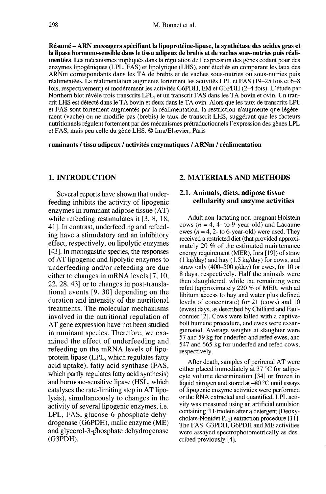Résumé - ARN messagers spécifiant la lipoprotéine-lipase, la synthétase des acides gras et la lipase hormono-sensible dans le tissu adipeux de brebis et de vaches sous-nutries puis réalimentées. Les mécanismes impliqués dans la régulation de l'expression des gènes codant pour des enzymes lipogéniques (LPL, FAS) et lipolytique (LHS), sont étudiés en comparant les taux des ARNm correspondants dans les TA de brebis et de vaches sous-nutries ou sous-nutries puis réalimentées. La réalimentation augmente fortement les activités LPL et FAS (19-25 fois et 6-8 fois, respectivement) et modérement les activités G6PDH, EM et G3PDH (2–4 fois). L'étude par Northern blot révèle trois transcrits LPL, et un transcrit FAS dans les TA bovin et ovin. Un trancrit LHS est détecté dans le TA bovin et deux dans le TA ovin. Alors que les taux de transcrits LPL et FAS sont fortement augmentés par la réalimentation, la restriction n'augmente que légère ment (vache) ou ne modifie pas (brebis) le taux de transcrit LHS, suggérant que les facteurs nutritionnels régulent fortement par des mécanismes prétraductionnels l'expression des gènes LPL et FAS, mais peu celle du gène LHS. © Inra/Elsevier, Paris

ruminants / tissu adipeux / activités enzymatiques / ARNm / réalimentation

#### 1. INTRODUCTION

Several reports have shown that underfeeding inhibits the activity of lipogenic enzymes in ruminant adipose tissue (AT) while refeeding restimulates it [3, 8, 18, 41]. In contrast, underfeeding and refeeding have a stimulatory and an inhibitory effect, respectively, on lipolytic enzymes [43]. In monogastric species, the responses of AT lipogenic and lipolytic enzymes to underfeeding and/or refeeding are due either to changes in mRNA levels [7, 10, 22, 28, 43] or to changes in post-translational events [9, 30] depending on the duration and intensity of the nutritional treatments. The molecular mechanisms involved in the nutritional regulation of AT gene expression have not been studied in ruminant species. Therefore, we examined the effect of underfeeding and refeeding on the mRNA levels of lipoprotein lipase (LPL, which regulates fatty acid uptake), fatty acid synthase (FAS, which partly regulates fatty acid synthesis) and hormone-sensitive lipase (HSL, which catalyses the rate-limiting step in AT lipolysis), simultaneously to changes in the activity of several lipogenic enzymes, i.e. LPL, FAS, glucose-6-phosphate dehydrogenase (G6PDH), malic enzyme (ME) and glycerol-3-phosphate dehydrogenase (G3PDH).

#### 2. MATERIALS AND METHODS

#### 2.1. Animals, diets, adipose tissue cellularity and enzyme activities

Adult non-lactating non-pregnant Holstein cows ( $n = 4$ , 4- to 9-year-old) and Lacaune ewes ( $n = 4$ , 2- to 6-year-old) were used. They received a restricted diet (that provided approximately 20 % of the estimated maintenance energy requirement (MER), Inra [19]) of straw  $(1 \text{ kg/day})$  and hay  $(1.5 \text{ kg/day})$  for cows, and straw only (400-500 g/day) for ewes, for 10 or 8 days, respectively. Half the animals were then slaughtered, while the remaining were refed (approximately 220 % of MER, with ad libitum access to hay and water plus defined levels of concentrate) for 21 (cows) and 10 (ewes) days, as described by Chilliard and Faulconnier [2]. Cows were killed with a captivebolt humane procedure, and ewes were exsanguinated. Average weights at slaughter were 57 and 59 kg for underfed and refed ewes, and 547 and 665 kg for underfed and refed cows, respectively.

After death, samples of perirenal AT were either placed immediately at 37 °C for adipocyte volume determination [34] or frozen in liquid nitrogen and stored at -80 °C until assays<br>of lipogenic enzyme activities were performed or the RNA extracted and quantified. LPL activity was measured using an artificial emulsion containing 3H-triolein after a detergent (Deoxycholate-Nonidet  $P_{40}$ ) extraction procedure [11]. The FAS, G3PDH, G6PDH and ME activities were assayed spectrophotometrically as described previously [4].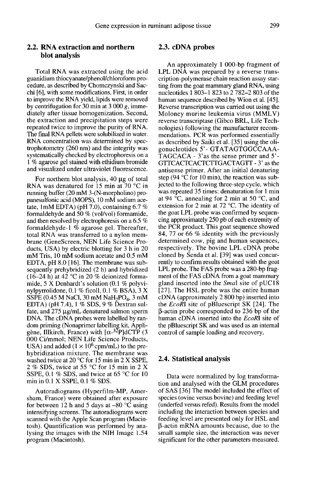### 2.2. RNA extraction and northern blot analysis

Total RNA was extracted using the acid guanidium thiocyanate/phenol/chloroform procedure, as described by Chomczynski and Sacchi [6], with some modifications. First, in order to improve the RNA yield, lipids were removed by centrifugation for 30 min at  $3000 g$ , immediately after tissue homogenization. Second, the extraction and precipitation steps were repeated twice to improve the purity of RNA. The final RNA pellets were solubilized in water. RNA concentration was determined by spectrophotometry (260 nm) and the integrity was systematically checked by electrophoresis on a 1 % agarose gel stained with ethidium bromide and visualized under ultraviolet fluorescence.

For northern blot analysis, 40 ug of total RNA was denatured for 15 min at 70 °C in running buffer (20 mM 3-(N-morpholino) propanesulfonic acid (MOPS), 10 mM sodium acetate, 1mM EDTA) (pH  $7.0$ ), containing 6.7 % formaldehyde and 50 % (vol/vol) formamide, and then resolved by electrophoresis on a 6.5 % formaldehyde-1  $\%$  agarose gel. Thereafter, total RNA was transferred to a nylon membrane (GeneScreen, NEN Life Science Products, USA) by electric blotting for 3 h in 20 mM Tris, 10 mM sodium acetate and 0.5 mM EDTA, pH 8.0 [16]. The membrane was subsequently prehybridized (2 h) and hybridized  $(16-24 \text{ h})$  at  $42^{\circ}$ C in 20 % deionized formamide, 5 X Denhardt's solution (0.1 % polyvimide, 5  $X$  Dennardt s solution (0.1 % polyvi-<br>nylpyrrolidone, 0.1 % ficoll, 0.1 % BSA), 3 X sequently prehybridized (2 h) and hybridized<br>(16–24 h) at 42 °C in 20 % deionized forma-<br>mide, 5 X Denhardt's solution (0.1 % polyvi-<br>nylpyrrolidone, 0.1 % ficoll, 0.1 % BSA), 3 X<br>SSPE (0.45 M NaCl, 30 mM NaH<sub>2</sub>PO<sub>4</sub>, 3 mM EDTA) (pH 7.4), 1 % SDS, 9 % Dextran sulfate, and  $275 \mu g/mL$  denatured salmon sperm DNA. The cDNA probes were labelled by random priming (Nonaprimer labelling kit, Appli-<br>gène, Illkirch, France) with Lo-<sup>32</sup>PldCTP (3 nylpyrrolidone, 0.1 % ficoll, 0.1 % BSA), 3 X<br>SSPE (0.45 M NaCl, 30 mM NaH<sub>2</sub>PO<sub>4</sub>, 3 mM<br>EDTA) (pH 7.4), 1 % SDS, 9 % Dextran sul-<br>fate, and 275 µg/mL denatured salmon sperm<br>DNA. The cDNA probes were labelled by ran-<br>dom 000 Ci/mmol; NEN Life Science Products,<br>USA) and added  $(1 \times 10^6 \text{cpm/mL})$  to the pregène, Illkirch, France) with  $\left[\alpha^{-3} \right]$ PldCTP (3 hybridization mixture. The membrane was washed twice at 20 °C for 15 min in 2 X SSPE, 2 % SDS, twice at 55 °C for 15 min in 2 X SSPE, 0.1 % SDS, and twice at 65 °C for 10 min in 0.1 X SSPE, 0.1 % SDS.

Autoradiograms (Hyperfilm-MP, Amersham, France) were obtained after exposure for between 12 h and 5 days at  $-80$  °C using intensifying screens. The autoradiograms were scanned with the Apple Scan program (Macintosh). Quantification was performed by analysing the images with the NIH Image 1.54 program (Macintosh).

#### 2.3. cDNA probes

An approximately 1 000-bp fragment of LPL DNA was prepared by a reverse transcription-polymerase chain reaction assay starting from the goat mammary gland RNA, using nucleotides 1 803-1 823 to 2 782-2 803 of the human sequence described by Wion et al. [45]. Reverse transcription was carried out using the Moloney murine leukemia virus (MMLV) reverse transcriptase (Gibco BRL, Life Technologies) following the manufacturer recommendations. PCR was performed essentially as described by Saiki et al. [35] using the oligonucleotides 5'- GTATAGTGGCCAAA-TAGCACA - 3'as the sense primer and 5'- GTTCACTCACTCTTGACTAGTT - 3' as the antisense primer. After an initial denaturing step (94 $\degree$ C for 10 min), the reaction was subjected to the following three-step cycle, which was repeated 35 times: denaturation for I min at 94 °C, annealing for 2 min at 50 °C, and extension for 2 min at 72 °C. The identity of the goat LPL probe was confirmed by sequencing approximately 250 pb of each extremity of the PCR product. This goat sequence showed 84, 77 or 66 % identity with the previously determined cow, pig and human sequences, respectively. The bovine LPL cDNA probe cloned by Senda et al. [39] was used concurrently to confirm results obtained with the goat LPL probe. The FAS probe was a 280-bp frag-<br>ment of the FAS cDNA from a goat mammary gland inserted into the  $Small$  site of pUC18 [27]. The HSL probe was the entire human cDNA (approximately 2 800 bp) inserted into the EcoRl site of pBluescript SK [24]. The ¡3-actin probe corresponded to 236 bp of the human cDNA inserted into the *EcoRI* site of the pBluescript SK and was used as an internal control of sample loading and recovery.

#### 2.4. Statistical analysis

Data were normalized by log transformation and analysed with the GLM procedures of SAS [36] The model included the effect of species (ovine versus bovine) and feeding level (underfed versus refed). Results from the model including the interaction between species and feeding level are presented only for HSL and (3-actin mRNA amounts because, due to the small sample size, the interaction was never significant for the other parameters measured.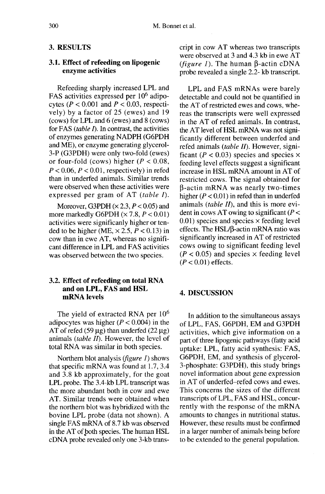### 3. RESULTS

# 3.1. Effect of refeeding on lipogenic enzyme activities

Refeeding sharply increased LPL and FAS activities expressed per 10<sup>6</sup> adipocytes ( $P < 0.001$  and  $P < 0.03$ , respectively) by a factor of 25 (ewes) and 19 (cows) for LPL and 6 (ewes) and 8 (cows) for FAS (table  $I$ ). In contrast, the activities of enzymes generating NADPH (G6PDH and ME), or enzyme generating glycerol-3-P (G3PDH) were only two-fold (ewes) or four-fold (cows) higher  $(P < 0.08$ ,  $P < 0.06$ ,  $P < 0.01$ , respectively) in refed than in underfed animals. Similar trends were observed when these activities were expressed per gram of AT (table I).

Moreover, G3PDH  $(\times 2.3, P < 0.05)$  and more markedly G6PDH  $(\times 7.8, P < 0.01)$ activities were significanly higher or tended to be higher (ME,  $\times$  2.5,  $P < 0.13$ ) in cow than in ewe AT, whereas no significant difference in LPL and FAS activities was observed between the two species.

#### 3.2. Effect of refeeding on total RNA and on LPL, FAS and HSL mRNA levels

The yield of extracted RNA per  $10<sup>6</sup>$ adipocytes was higher  $(P < 0.004)$  in the AT of refed (59  $\mu$ g) than underfed (22  $\mu$ g) animals (table  $II$ ). However, the level of total RNA was similar in both species.

Northern blot analysis  $(figure 1)$  shows that specific mRNA was found at 1.7, 3.4 and 3.8 kb approximately, for the goat LPL probe. The 3.4-kb LPL transcript was the more abundant both in cow and ewe AT. Similar trends were obtained when the northern blot was hybridized with the bovine LPL probe (data not shown). A single FAS mRNA of 8.7 kb was observed in the AT of both species. The human HSL cDNA probe revealed only one 3-kb transcript in cow AT whereas two transcripts were observed at 3 and 4.3 kb in ewe AT (*figure 1*). The human  $\beta$ -actin cDNA probe revealed a single 2.2- kb transcript.

LPL and FAS mRNAs were barely detectable and could not be quantified in the AT of restricted ewes and cows, whereas the transcripts were well expressed in the AT of refed animals. In contrast, the AT level of HSL mRNA was not significantly different between underfed and refed animals (table  $II$ ). However, significant ( $P < 0.03$ ) species and species  $\times$ feeding level effects suggest a significant increase in HSL mRNA amount in AT of restricted cows. The signal obtained for (3-actin mRNA was nearly two-times higher  $(P < 0.01)$  in refed than in underfed animals (table  $II$ ), and this is more evident in cows AT owing to significant ( $P <$  $0.01$ ) species and species  $\times$  feeding level effects. The  $HSL/B$ -actin mRNA ratio was significantly increased in AT of restricted cows owing to significant feeding level  $(P < 0.05)$  and species  $\times$  feeding level  $(P < 0.01)$  effects.

#### 4. DISCUSSION

In addition to the simultaneous assays of LPL, FAS, G6PDH, EM and G3PDH activities, which give information on a part of three lipogenic pathways (fatty acid uptake: LPL, fatty acid synthesis: FAS, G6PDH, EM, and synthesis of glycerol-3-phosphate: G3PDH), this study brings novel information about gene expression in AT of underfed-refed cows and ewes. This concerns the sizes of the different transcripts of LPL, FAS and HSL, concurrently with the response of the mRNA amounts to changes in nutritional status. However, these results must be confirmed in a larger number of animals being before to be extended to the general population.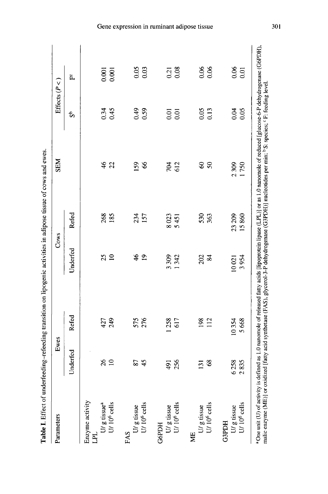| Parameters                                           | Ewes                   |            | Cows           |       | <b>NBS</b>    | Effects ( $P <$   |       |
|------------------------------------------------------|------------------------|------------|----------------|-------|---------------|-------------------|-------|
|                                                      | Underfed               | Refed      | Underfed       | Refed |               | ಕೆ                | ይ     |
| Enzyme activity<br>LPL                               |                        |            |                |       |               |                   |       |
| U/ g tissue <sup>a</sup><br>U/ 10 <sup>6</sup> cells | $\frac{26}{5}$         | 427        | 25             | 268   | $\frac{4}{6}$ | 0.34              | 0.001 |
|                                                      | $\Xi$                  | 249        | $\supseteq$    | 185   | 22            | 0.45              | 0.001 |
| FAS                                                  |                        |            |                |       |               |                   |       |
| U/ g tissue<br>U/ $10^6$ cells                       | 2                      |            | $\frac{4}{6}$  | 234   | 159           | 0.49              | 0.05  |
|                                                      | 45                     | 575<br>276 | $\overline{1}$ | 157   | 8             | 0.59              | 0.03  |
| <b>G6PDH</b>                                         |                        |            |                |       |               |                   |       |
| U/ g tissue<br>U/ $10^6$ cells                       | 164                    | 258        | 3309           | 8023  | 704           | $\overline{0.01}$ | 0.21  |
|                                                      | 256                    | 617        | 1342           | 5451  | 612           | $\overline{0}$    | 0.08  |
| МE                                                   |                        |            |                |       |               |                   |       |
| U/ g tissue<br>U/ $10^6$ cells                       | $\bar{\mathbb{E}}$     | 198        | 202            | 530   | $\mathcal{S}$ | 0.05              | 0.06  |
|                                                      | $\frac{8}{3}$          | 112        | $\mathbf{g}$   | 363   | $\mathcal{S}$ | 0.13              | 0.06  |
| <b>G3PDH</b>                                         |                        |            |                |       |               |                   |       |
| U/ g tissue<br>U/ $10^6$ cells                       | 6258                   | 10354      | 10021          | 23209 | 2309          | 0.04              | 0.06  |
|                                                      | 835<br>$\mathbf{\sim}$ | 5668       | 3954           | 15860 | 1750          | 0.05              | 0.01  |

Gene expression in ruminant adipose tissue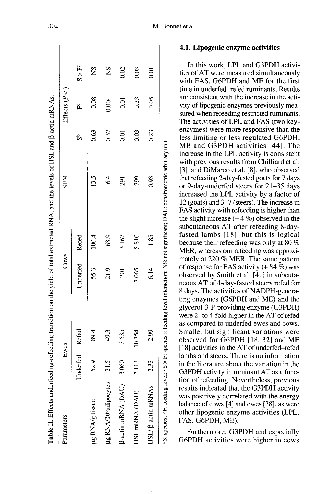| Parameters                                                                                                                                                    |                | Ewes  | Cows     |       | <b>SEM</b>    |                   | Effects $(P <)$   |                |  |
|---------------------------------------------------------------------------------------------------------------------------------------------------------------|----------------|-------|----------|-------|---------------|-------------------|-------------------|----------------|--|
|                                                                                                                                                               | Underfed Refed |       | Underfed | Refed |               | ಹಿ                | ۴,                | $S \times F^c$ |  |
| µg RNA/g tissue                                                                                                                                               | 52.9           | 89.4  | 55.3     | 100.4 | 13.5          | 0.63              | 0.08              | $\frac{8}{2}$  |  |
| µg RNA/10 <sup>6</sup> adipocytes                                                                                                                             | 21.5           | 49.3  | 21.9     | 68.9  | $\frac{4}{6}$ | 0.37              | 0.004             | SN             |  |
| <b>B-actin mRNA (DAU)</b>                                                                                                                                     | 3060           | 3535  | 1201     | 3167  | 291           | $\overline{0.01}$ | $\overline{0.01}$ | 0.02           |  |
| HSL mRNA (DAU)                                                                                                                                                | 7113           | 10354 | 7065     | 5810  | <b>P6/</b>    | 0.03              | 0.33              | 0.03           |  |
| HSL/ $\beta$ -actin mRNAs                                                                                                                                     | 233            | 2.99  | 6.14     | 1.85  | 0.93          | 0.23              | 0.05              | 0.01           |  |
| <sup>a</sup> S: species; <sup>b</sup> F: feeding level; ° S × F: species × feeding level interaction; NS: not significant; DAU: densitometric arbitrary unit. |                |       |          |       |               |                   |                   |                |  |

M. Bonnet et al.

#### 4.1. Lipogenic enzyme activities

In this work, LPL and G3PDH activities of AT were measured simultaneously with FAS, G6PDH and ME for the first time in underfed-refed ruminants. Results are consistent with the increase in the activity of lipogenic enzymes previously measured when refeeding restricted ruminants. The activities of LPL and FAS (two keyenzymes) were more responsive than the less limiting or less regulated G6PDH, ME and G3PDH activities [44]. The increase in the LPL activity is consistent with previous results from Chilliard et al. [3] and DiMarco et al. [8], who observed that refeeding 2-day-fasted goats for 7 days or 9-day-underfed steers for 21-35 days increased the LPL activity by a factor of 12 (goats) and 3-7 (steers). The increase in FAS activity with refeeding is higher than the slight increase  $(+ 4\%)$  observed in the subcutaneous AT after refeeding 8-dayfasted lambs [18], but this is logical because their refeeding was only at 80 % MER, whereas our refeeding was approximately at 220 % MER. The same pattern of response for FAS activity  $(+ 84\%)$  was observed by Smith et al. [41] in subcutaneous AT of 4-day-fasted steers refed for 8 days. The activities of NADPH-generating enzymes (G6PDH and ME) and the glycerol-3-P-providing enzyme (G3PDH) were 2- to 4-fold higher in the AT of refed as compared to underfed ewes and cows. Smaller but significant variations were observed for G6PDH [18, 32] and ME [18] activities in the AT of underfed-refed lambs and steers. There is no information in the literature about the variation in the G3PDH activity in ruminant AT as a function of refeeding. Nevertheless, previous results indicated that the G3PDH activity was positively correlated with the energy balance of cows [4] and ewes [38], as were other lipogenic enzyme activities (LPL, FAS, G6PDH, ME).

Furthermore, G3PDH and especially G6PDH activities were higher in cows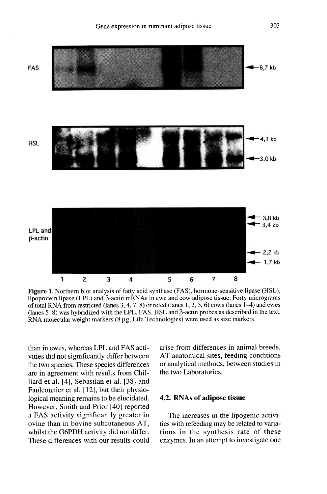



Figure 1. Northern blot analysis of fatty acid synthase (FAS), hormone-sensitive lipase (HSL), lipoprotein lipase (LPL) and  $\beta$ -actin mRNAs in ewe and cow adipose tissue. Forty micrograms of total RNA from restricted (lanes  $3, 4, 7, 8$ ) or refed (lanes  $1, 2, 5, 6$ ) cows (lanes  $1-4$ ) and ewes (lanes  $5-8$ ) was hybridized with the LPL, FAS, HSL and  $\beta$ -actin probes as described in the text. RNA molecular weight markers  $(8 \mu g, \text{Life Technologies})$  were used as size markers.

than in ewes, whereas LPL and FAS activities did not significantly differ between the two species. These species differences are in agreement with results from Chilliard et al. [4], Sebastian et al. [38] and Faulconnier et al. [12], but their physiological meaning remains to be elucidated.<br>However, Smith and Prior [40] reported a FAS activity significantly greater in ovine than in bovine subcutaneous AT, whilst the G6PDH activity did not differ. These differences with our results could arise from differences in animal breeds, AT anatomical sites, feeding conditions or analytical methods, between studies in the two Laboratories.

# 4.2. RNAs of adipose tissue

The increases in the lipogenic activities with refeeding may be related to variations in the synthesis rate of these enzymes. In an attempt to investigate one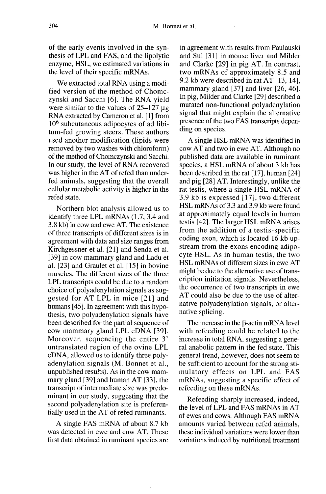of the early events involved in the synthesis of LPL and FAS, and the lipolytic enzyme, HSL, we estimated variations in the level of their specific mRNAs.

We extracted total RNA using a modified version of the method of Chomczynski and Sacchi [6]. The RNA yield were similar to the values of  $25-127$  ug RNA extracted by Cameron et al. [1] from  $10<sup>6</sup>$  subcutaneous adipocytes of ad libitum-fed growing steers. These authors used another modification (lipids were removed by two washes with chloroform) of the method of Chomczynski and Sacchi. In our study, the level of RNA recovered was higher in the AT of refed than underfed animals, suggesting that the overall cellular metabolic activity is higher in the refed state.

Northern blot analysis allowed us to identify three LPL mRNAs (1.7, 3.4 and 3.8 kb) in cow and ewe AT. The existence of three transcripts of different sizes is in agreement with data and size ranges from Kirchgessner et al. [21] and Senda et al. [39] in cow mammary gland and Ladu et al. [23] and Graulet et al. [15] in bovine muscles. The different sizes of the three LPL transcripts could be due to a random choice of polyadenylation signals as suggested for AT LPL in mice [21] and humans [45]. In agreement with this hypothesis, two polyadenylation signals have been described for the partial sequence of cow mammary gland LPL cDNA [39]. Moreover, sequencing the entire 3' untranslated region of the ovine LPL CDNA, allowed us to identify three polyadenylation signals (M. Bonnet et al., unpublished results). As in the cow mammary gland [39] and human AT [33], the transcript of intermediate size was predominant in our study, suggesting that the second polyadenylation site is preferentially used in the AT of refed ruminants.

A single FAS mRNA of about 8.7 kb was detected in ewe and cow AT. These first data obtained in ruminant species are

in agreement with results from Paulauski and Sul [31] in mouse liver and Milder and Clarke [29] in pig AT. In contrast, two mRNAs of approximately 8.5 and 9.2 kb were described in rat AT [13, 14], mammary gland [37] and liver [26, 46]. In pig, Milder and Clarke [29] described a mutated non-functional polyadenylation signal that might explain the alternative presence of the two FAS transcripts depending on species.

A single HSL mRNA was identified in cow AT and two in ewe AT. Although no published data are available in ruminant species, a HSL mRNA of about 3 kb has been described in the rat [17], human [24] and pig [28] AT. Interestingly, unlike the rat testis, where a single HSL mRNA of 3.9 kb is expressed [17], two different HSL mRNAs of 3.3 and 3.9 kb were found at approximately equal levels in human testis [42]. The larger HSL mRNA arises from the addition of a testis-specific coding exon, which is located 16 kb upstream from the exons encoding adipocyte HSL. As in human testis, the two HSL mRNAs of different sizes in ewe AT might be due to the alternative use of transcription initiation signals. Nevertheless, the occurrence of two transcripts in ewe AT could also be due to the use of alternative polyadenylation signals, or alternative splicing.

The increase in the  $\beta$ -actin mRNA level with refeeding could be related to the increase in total RNA, suggesting a general anabolic pattern in the fed state. This general trend, however, does not seem to be sufficient to account for the strong stimulatory effects on LPL and FAS mRNAs, suggesting a specific effect of refeeding on these mRNAs.

Refeeding sharply increased, indeed, the level of LPL and FAS mRNAs in AT of ewes and cows. Although FAS mRNA amounts varied between refed animals, these individual variations were lower than variations induced by nutritional treatment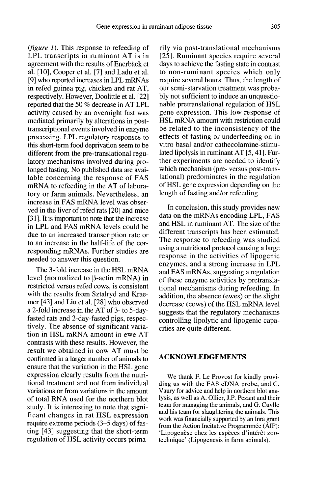(*figure 1*). This response to refeeding of LPL transcripts in ruminant AT is in agreement with the results of Enerbäck et al. [10], Cooper et al. [7] and Ladu et al. [9] who reported increases in LPL mRNAs in refed guinea pig, chicken and rat AT, respectively. However, Doolittle et al. [22] reported that the 50 % decrease in AT LPL activity caused by an overnight fast was mediated primarily by alterations in posttranscriptional events involved in enzyme processing. LPL regulatory responses to this short-term food deprivation seem to be different from the pre-translational regulatory mechanisms involved during prolonged fasting. No published data are available concerning the response of FAS mRNA to refeeding in the AT of laboratory or farm animals. Nevertheless, an increase in FAS mRNA level was observed in the liver of refed rats [20] and mice [31]. It is important to note that the increase in LPL and FAS mRNA levels could be due to an increased transcription rate or to an increase in the half-life of the corresponding mRNAs. Further studies are needed to answer this question.

The 3-fold increase in the HSL mRNA level (normalized to  $\beta$ -actin mRNA) in restricted versus refed cows, is consistent with the results from Sztalryd and Kraemer [43] and Liu et al. [28] who observed a 2-fold increase in the AT of 3- to 5-dayfasted rats and 2-day-fasted pigs, respectively. The absence of significant variation in HSL mRNA amount in ewe AT contrasts with these results. However, the result we obtained in cow AT must be confirmed in a larger number of animals to ensure that the variation in the HSL gene expression clearly results from the nutritional treatment and not from individual variations or from variations in the amount of total RNA used for the northern blot study. It is interesting to note that significant changes in rat HSL expression require extreme periods (3-5 days) of fasting [43] suggesting that the short-term regulation of HSL activity occurs primarily via post-translational mechanisms [25]. Ruminant species require several days to achieve the fasting state in contrast to non-ruminant species which only require several hours. Thus, the length of our semi-starvation treatment was probably not sufficient to induce an unquestionable pretranslational regulation of HSL gene expression. This low response of HSL mRNA amount with restriction could be related to the inconsistency of the effects of fasting or underfeeding on in vitro basal and/or cathecolamine-stimulated lipolysis in ruminant AT [5, 41]. Further experiments are needed to identify which mechanism (pre- versus post-translational) predominates in the regulation of HSL gene expression depending on the length of fasting and/or refeeding.

In conclusion, this study provides new data on the mRNAs encoding LPL, FAS and HSL in ruminant AT. The size of the different transcripts has been estimated. The response to refeeding was studied using a nutritional protocol causing a large response in the activities of lipogenic enzymes, and a strong increase in LPL and FAS mRNAs, suggesting a regulation of these enzyme activities by pretranslational mechanisms during refeeding. In addition, the absence (ewes) or the slight decrease (cows) of the HSL mRNA level suggests that the regulatory mechanisms controlling lipolytic and lipogenic capacities are quite different.

#### ACKNOWLEDGEMENTS

We thank F. Le Provost for kindly providing us with the FAS cDNA probe, and C. Vaury for advice and help in northern blot analysis, as well as A. Ollier, J.P. Pezant and their team for managing the animals, and G. Cuylle and his team for slaughtering the animals. This work was financially supported by an Inra grant from the Action Incitative Programmée (AIP): 'Lipogenèse chez les espèces d'intérêt zootechnique' (Lipogenesis in farm animals).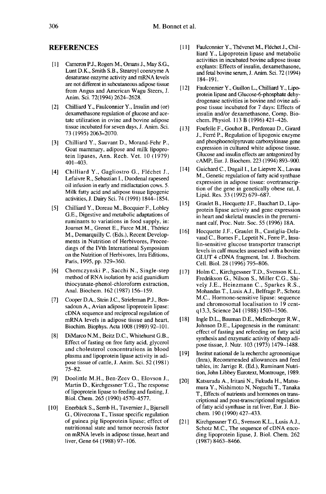#### REFERENCES

- [1] Cameron P.J., Rogers M., Omans J., May S.G.,<br>Lunt D.K., Smith S.B., Stearoyl coenzyme A desaturase enzyme activity and mRNA levels are not different in subcutaneous adipose tissue from Angus and American Wagu Steers, J. Anim. Sci. 72(1994) 2624-2628.
- [2] Chilliard Y., Faulconnier Y., Insulin and (or) dexamethasone regulation of glucose and acetate utilization in ovine and bovine adipose tissue incubated for seven days, J. Anim. Sci. 73(1995)2063-2070.
- [3] Chilliard Y., Sauvant D., Morand-Fehr P., Goat mammary, adipose and milk lipoprotein lipases, Ann. Rech. Vet. 10 (1979) 401-403.
- [4] Chilliard Y., Gagliostro G., Fléchet J., Lefaivre R., Sebastian I., Duodenal rapeseed oil infusion in early and midlactation cows. 5. Milk fatty acid and adipose tissue lipogenic activities, J. Dairy Sci. 74 (1991) 1844-1854.
- [5] Chilliard Y., Doreau M., Bocquier F., Lobley G.E., Digestive and metabolic adaptations of ruminants to variations in food supply, in:<br>Journet M., Grenet E., Farce M.H., Thériez Chilliard Y., Doreau M., Bocquier F., Lobley<br>G.E., Digestive and metabolic adaptations of<br>ruminants to variations in food supply, in:<br>Journet M., Grenet E., Farce M.H., Thériez<br>M. Demarquilly C. (Eds.), Recent Develop-M., Demarquilly C. (Eds.), Recent Develop ments in Nutrition of Herbivores, Proceedings of the IVth International Symposium on the Nutrition of Herbivores, Inra Editions, Paris, 1995, pp. 329-360.
- [6] Chomczynski P., Sacchi N., Single-step method of RNA isolation by acid guanidium thiocyanate-phenol-chloroform extraction, Anal. Biochem. 162 (1987) 156-159.
- [7] Cooper D.A., Stein J.C., Strieleman P.J., Ben-<br>sadoun A., Avian adipose lipoprotein lipase: cDNA sequence and reciprocal regulation of mRNA levels in adipose tissue and heart, Biochim. Biophys. Acta 1008 (1989) 92-101.
- [8] DiMarco N.M., Beitz D.C., Whitehurst G.B., Effect of fasting on free fatty acid, glycerol and cholesterol concentrations in blood plasma and lipoprotein lipase activity in adipose tissue of cattle, J. Anim. Sci. 52 (1981) 75-82.
- [9] Doolittle M.H., Ben-Zeev 0., Elovson J., Martin D., Kirchgessner T.G., The response of lipoprotein lipase to feeding and fasting, J. Biol. Chem. 265 (1990) 4570-4577.
- [10] Enerbäck S., Semb H., Tavernier J., Bjursell G., Olivecrona T., Tissue specific regulation of guinea pig lipoprotein lipase; effect of nutritionnal state and tumor necrosis factor on mRNA levels in adipose tissue, heart and liver, Gene 64 (1988) 97-106.
- [11] Faulconnier Y., Thévenet M., Fléchet J., Chilliard Y., Lipoprotein lipase and metabolic activities in incubated bovine adipose tissue explants: Effects of insulin, dexamethasone, and fetal bovine serum, J. Anim. Sci. 72 ( 1994) 184-191.
- [12] Faulconnier Y., Guillon L., Chilliard Y., Lipoprotein lipase and Glucose-6-phosphate dehydrogenase activities in bovine and ovine adipose tissue incubated for 7 days: Effects of insulin and/or dexamethasone, Comp. Biochem. Physiol. 113 B (1996) 421-426.
- [13] Foufelle F., Gouhot B., Perdereau D., Girard J., Ferre P., Regulation of lipogenic enzyme and phosphoenolpyruvate carboxykinase gene expression in cultured white adipose tissue. Glucose and insulin effects are antagonized by cAMP, Eur. J. Biochem. 223 (1994) 893-900.
- [14] Guichard C., Dugail I., Le Liepvre X., Lavau M., Genetic regulation of fatty acid synthase expression in adipose tissue: overtranscription of the gene in genetically obese rat, J. Lipid. Res. 33 (1992) 679-687.
- [15] Graulet B., Hocquette J.F., Bauchart D., Lipoprotein lipase activity and gene expression in heart and skeletal muscles in the prerumi nant calf, Proc. Nutr. Soc. 55 (1996) 18A.
- [16] Hocquette J.F., Graulet B., Castiglia-Dela- vaud C., Bomes F., Lepetit N., Ferre P., Insulin-sensitive glucose transporter transcript levels in calf muscles assessed with a bovine GLUT 4 cDNA fragment, Int. J. Biochem. Cell. Biol. 28 (1996) 795-806.
- [17] Holm C., Kirchgessner T.D., Svenson K.L., Fredrikson G., Nilson S., Miller C.G., Shively J.E., Heinzmann C., Sparkes R.S., Mohandas T., Lusis A.J., Belfrage P., Schotz M.C., Hormone-sensitive lipase: sequence and chromosomal localisation to 19 centql3.3, Science 241 (1988) 1503-1506.
- [18] Ingle D.L., Bauman D.E., Mellenberger R.W., Johnson D.E., Lipogenesis in the ruminant: effect of fasting and refeeding on fatty acid synthesis and enzymatic activity of sheep adipose tissue, J. Nutr. 103 (1973) 1479-1488.
- [19] Institut national de la recherche agronomique (Inra), Recommended allowances and feed tables, in: Jarrige R. (Ed.), Ruminant Nutrition, John Libbey Eurotext, Montrouge, 1989.
- [20] Katsurada A., Iritani N., Fukuda H., Matsumura Y., Nishimoto N, Noguchi T., Tanaka T., Effects of nutrients and hormones on transcriptional and post-transcriptional regulation of fatty acid synthase in rat liver, Eur. J. Biochem. 190 (1990) 427-433.
- [21] ]Kirchgessner T.G., Svenson K.L., Lusis A.J., Schotz M.C., The sequence of CDNA encoding lipoprotein lipase, J. Biol. Chem. 262 (1987) 8463-8466.